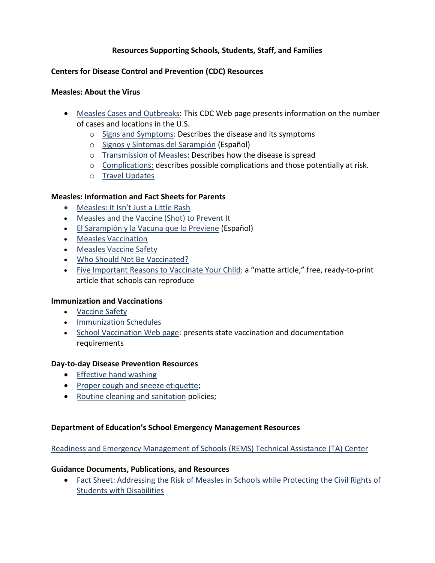## **Resources Supporting Schools, Students, Staff, and Families**

## **Centers for Disease Control and Prevention (CDC) Resources**

### **Measles: About the Virus**

- [Measles Cases and Outbreaks:](http://www.cdc.gov/measles/cases-outbreaks.html) This CDC Web page presents information on the number of cases and locations in the U.S.
	- o [Signs and Symptoms:](http://www.cdc.gov/measles/about/signs-symptoms.html) Describes the disease and its symptoms
	- o [Signos y Síntomas del Sarampión](http://www.cdc.gov/measles/about/signs-symptoms-sp.html) (Español)
	- o [Transmission of Measles:](http://www.cdc.gov/measles/about/transmission.html) Describes how the disease is spread
	- o [Complications:](http://www.cdc.gov/measles/about/complications.html) describes possible complications and those potentially at risk.
	- o [Travel Updates](http://wwwnc.cdc.gov/travel/notices/watch/measles)

### **Measles: Information and Fact Sheets for Parents**

- [Measles: It Isn't Just a Little Rash](http://www.cdc.gov/measles/parent-infographic.html)
- Measles and the Vaccine (Shot) to Prevent It
- [El Sarampión y la Vacuna que lo Previene](http://www.cdc.gov/vaccines/vpd-vac/measles/fs-parents-sp.html) (Español)
- [Measles Vaccination](http://www.cdc.gov/measles/vaccination.html)
- [Measles Vaccine Safety](http://www.cdc.gov/vaccines/vpd-vac/measles/default.htm#safety)
- [Who Should Not Be Vaccinated?](http://www.cdc.gov/vaccines/vpd-vac/measles/default.htm#notvacc)
- [Five Important Reasons to Vaccinate Your Child:](http://www.cdc.gov/measles/downloads/matte-reasons-vaccinate.pdf) a "matte article," free, ready-to-print article that schools can reproduce

#### **Immunization and Vaccinations**

- [Vaccine Safety](http://www.cdc.gov/vaccinesafety/index.html)
- **•** [Immunization Schedules](http://www.cdc.gov/vaccines/schedules/index.html)
- [School Vaccination Web page:](http://www2a.cdc.gov/nip/schoolsurv/schImmRqmt.asp) presents state vaccination and documentation requirements

#### **Day-to-day Disease Prevention Resources**

- [Effective hand washing](http://www.cdc.gov/handwashing/when-how-handwashing.html)
- [Proper cough and sneeze etiquette;](http://www.cdc.gov/flu/protect/covercough.htm)
- [Routine cleaning and sanitation](http://www.cdc.gov/flu/pdf/freeresources/updated/cleaning_disinfecting_schools.pdf) policies;

#### **Department of Education's School Emergency Management Resources**

## [Readiness and Emergency Management of Schools \(REMS\) Technical Assistance \(TA\) Center](http://rems.ed.gov/KeepSchoolsSafeFromDiseases.aspx)

#### **Guidance Documents, Publications, and Resources**

 [Fact Sheet: Addressing the Risk of Measles in Schools while Protecting the Civil Rights of](http://rems.ed.gov/KeepSchoolsSafeFromDiseases.aspx)  [Students with Disabilities](http://rems.ed.gov/KeepSchoolsSafeFromDiseases.aspx)